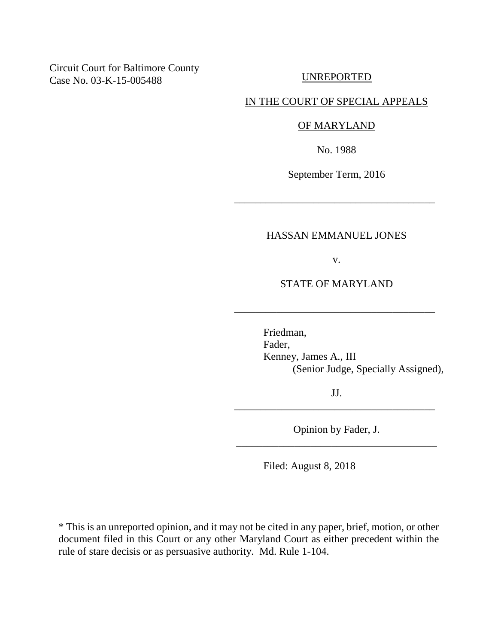# Circuit Court for Baltimore County Case No. 03-K-15-005488

UNREPORTED

### IN THE COURT OF SPECIAL APPEALS

# OF MARYLAND

No. 1988

September Term, 2016

\_\_\_\_\_\_\_\_\_\_\_\_\_\_\_\_\_\_\_\_\_\_\_\_\_\_\_\_\_\_\_\_\_\_\_\_\_\_

### HASSAN EMMANUEL JONES

v.

### STATE OF MARYLAND

\_\_\_\_\_\_\_\_\_\_\_\_\_\_\_\_\_\_\_\_\_\_\_\_\_\_\_\_\_\_\_\_\_\_\_\_\_\_

Friedman, Fader, Kenney, James A., III (Senior Judge, Specially Assigned),

JJ. \_\_\_\_\_\_\_\_\_\_\_\_\_\_\_\_\_\_\_\_\_\_\_\_\_\_\_\_\_\_\_\_\_\_\_\_\_\_

Opinion by Fader, J. \_\_\_\_\_\_\_\_\_\_\_\_\_\_\_\_\_\_\_\_\_\_\_\_\_\_\_\_\_\_\_\_\_\_\_\_\_\_

Filed: August 8, 2018

\* This is an unreported opinion, and it may not be cited in any paper, brief, motion, or other document filed in this Court or any other Maryland Court as either precedent within the rule of stare decisis or as persuasive authority. Md. Rule 1-104.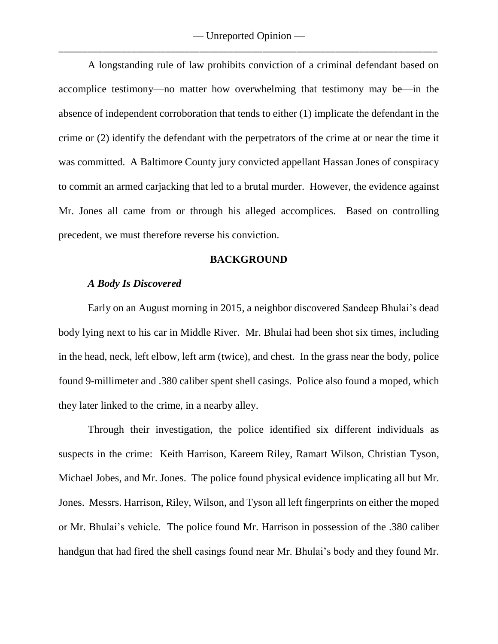A longstanding rule of law prohibits conviction of a criminal defendant based on accomplice testimony—no matter how overwhelming that testimony may be—in the absence of independent corroboration that tends to either (1) implicate the defendant in the crime or (2) identify the defendant with the perpetrators of the crime at or near the time it was committed. A Baltimore County jury convicted appellant Hassan Jones of conspiracy to commit an armed carjacking that led to a brutal murder. However, the evidence against Mr. Jones all came from or through his alleged accomplices. Based on controlling precedent, we must therefore reverse his conviction.

#### **BACKGROUND**

### *A Body Is Discovered*

Early on an August morning in 2015, a neighbor discovered Sandeep Bhulai's dead body lying next to his car in Middle River. Mr. Bhulai had been shot six times, including in the head, neck, left elbow, left arm (twice), and chest. In the grass near the body, police found 9-millimeter and .380 caliber spent shell casings. Police also found a moped, which they later linked to the crime, in a nearby alley.

Through their investigation, the police identified six different individuals as suspects in the crime: Keith Harrison, Kareem Riley, Ramart Wilson, Christian Tyson, Michael Jobes, and Mr. Jones. The police found physical evidence implicating all but Mr. Jones. Messrs. Harrison, Riley, Wilson, and Tyson all left fingerprints on either the moped or Mr. Bhulai's vehicle. The police found Mr. Harrison in possession of the .380 caliber handgun that had fired the shell casings found near Mr. Bhulai's body and they found Mr.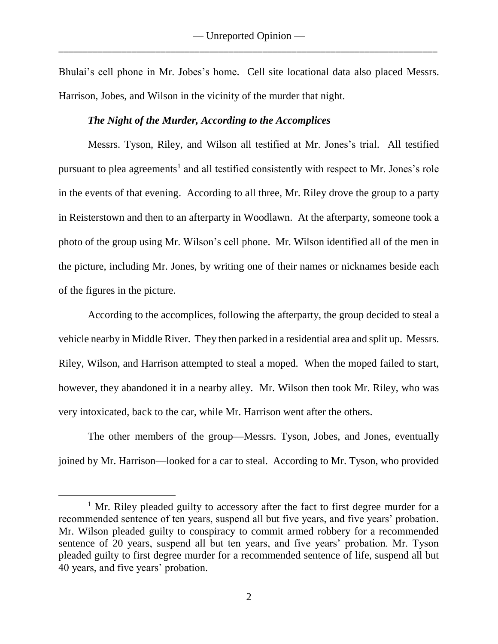Bhulai's cell phone in Mr. Jobes's home. Cell site locational data also placed Messrs. Harrison, Jobes, and Wilson in the vicinity of the murder that night.

## *The Night of the Murder, According to the Accomplices*

Messrs. Tyson, Riley, and Wilson all testified at Mr. Jones's trial. All testified pursuant to plea agreements<sup>1</sup> and all testified consistently with respect to Mr. Jones's role in the events of that evening. According to all three, Mr. Riley drove the group to a party in Reisterstown and then to an afterparty in Woodlawn. At the afterparty, someone took a photo of the group using Mr. Wilson's cell phone. Mr. Wilson identified all of the men in the picture, including Mr. Jones, by writing one of their names or nicknames beside each of the figures in the picture.

According to the accomplices, following the afterparty, the group decided to steal a vehicle nearby in Middle River. They then parked in a residential area and split up. Messrs. Riley, Wilson, and Harrison attempted to steal a moped. When the moped failed to start, however, they abandoned it in a nearby alley. Mr. Wilson then took Mr. Riley, who was very intoxicated, back to the car, while Mr. Harrison went after the others.

The other members of the group—Messrs. Tyson, Jobes, and Jones, eventually joined by Mr. Harrison—looked for a car to steal. According to Mr. Tyson, who provided

 $\overline{a}$ 

 $1$  Mr. Riley pleaded guilty to accessory after the fact to first degree murder for a recommended sentence of ten years, suspend all but five years, and five years' probation. Mr. Wilson pleaded guilty to conspiracy to commit armed robbery for a recommended sentence of 20 years, suspend all but ten years, and five years' probation. Mr. Tyson pleaded guilty to first degree murder for a recommended sentence of life, suspend all but 40 years, and five years' probation.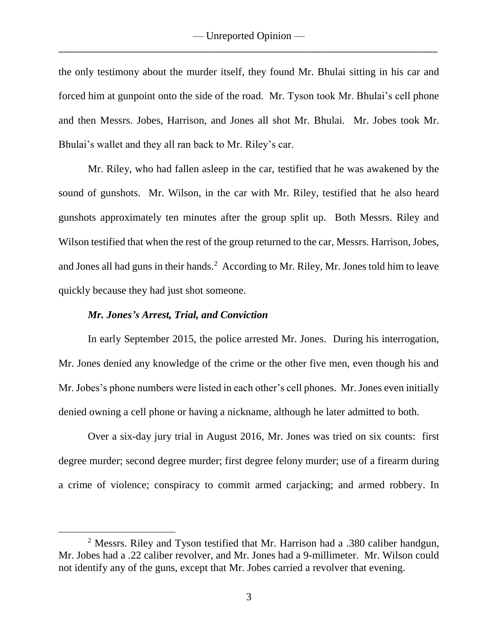the only testimony about the murder itself, they found Mr. Bhulai sitting in his car and forced him at gunpoint onto the side of the road. Mr. Tyson took Mr. Bhulai's cell phone and then Messrs. Jobes, Harrison, and Jones all shot Mr. Bhulai. Mr. Jobes took Mr. Bhulai's wallet and they all ran back to Mr. Riley's car.

Mr. Riley, who had fallen asleep in the car, testified that he was awakened by the sound of gunshots. Mr. Wilson, in the car with Mr. Riley, testified that he also heard gunshots approximately ten minutes after the group split up. Both Messrs. Riley and Wilson testified that when the rest of the group returned to the car, Messrs. Harrison, Jobes, and Jones all had guns in their hands.<sup>2</sup> According to Mr. Riley, Mr. Jones told him to leave quickly because they had just shot someone.

#### *Mr. Jones's Arrest, Trial, and Conviction*

 $\overline{a}$ 

In early September 2015, the police arrested Mr. Jones. During his interrogation, Mr. Jones denied any knowledge of the crime or the other five men, even though his and Mr. Jobes's phone numbers were listed in each other's cell phones. Mr. Jones even initially denied owning a cell phone or having a nickname, although he later admitted to both.

Over a six-day jury trial in August 2016, Mr. Jones was tried on six counts: first degree murder; second degree murder; first degree felony murder; use of a firearm during a crime of violence; conspiracy to commit armed carjacking; and armed robbery. In

<sup>&</sup>lt;sup>2</sup> Messrs. Riley and Tyson testified that Mr. Harrison had a .380 caliber handgun, Mr. Jobes had a .22 caliber revolver, and Mr. Jones had a 9-millimeter. Mr. Wilson could not identify any of the guns, except that Mr. Jobes carried a revolver that evening.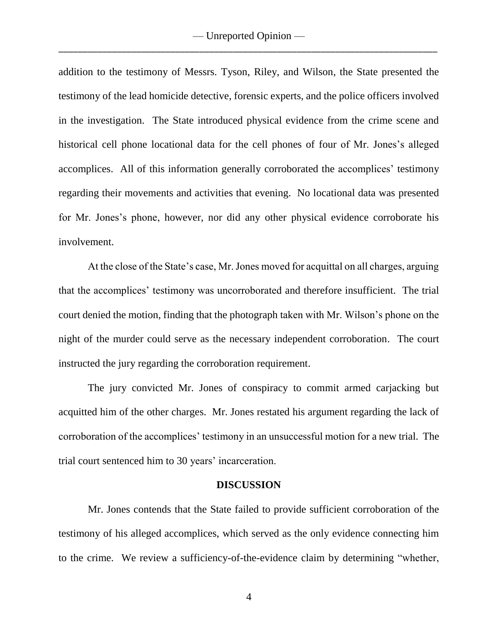addition to the testimony of Messrs. Tyson, Riley, and Wilson, the State presented the testimony of the lead homicide detective, forensic experts, and the police officers involved in the investigation. The State introduced physical evidence from the crime scene and historical cell phone locational data for the cell phones of four of Mr. Jones's alleged accomplices. All of this information generally corroborated the accomplices' testimony regarding their movements and activities that evening. No locational data was presented for Mr. Jones's phone, however, nor did any other physical evidence corroborate his involvement.

At the close of the State's case, Mr. Jones moved for acquittal on all charges, arguing that the accomplices' testimony was uncorroborated and therefore insufficient. The trial court denied the motion, finding that the photograph taken with Mr. Wilson's phone on the night of the murder could serve as the necessary independent corroboration.The court instructed the jury regarding the corroboration requirement.

The jury convicted Mr. Jones of conspiracy to commit armed carjacking but acquitted him of the other charges. Mr. Jones restated his argument regarding the lack of corroboration of the accomplices' testimony in an unsuccessful motion for a new trial. The trial court sentenced him to 30 years' incarceration.

#### **DISCUSSION**

Mr. Jones contends that the State failed to provide sufficient corroboration of the testimony of his alleged accomplices, which served as the only evidence connecting him to the crime. We review a sufficiency-of-the-evidence claim by determining "whether,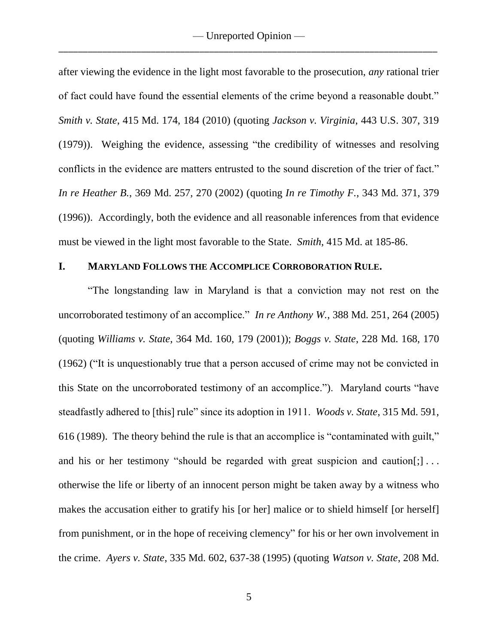after viewing the evidence in the light most favorable to the prosecution, *any* rational trier of fact could have found the essential elements of the crime beyond a reasonable doubt." *Smith v. State*, 415 Md. 174, 184 (2010) (quoting *Jackson v. Virginia*, 443 U.S. 307, 319 (1979)). Weighing the evidence, assessing "the credibility of witnesses and resolving conflicts in the evidence are matters entrusted to the sound discretion of the trier of fact." *In re Heather B.*, 369 Md. 257, 270 (2002) (quoting *In re Timothy F.*, 343 Md. 371, 379 (1996)). Accordingly, both the evidence and all reasonable inferences from that evidence must be viewed in the light most favorable to the State. *Smith*, 415 Md. at 185-86.

#### **I. MARYLAND FOLLOWS THE ACCOMPLICE CORROBORATION RULE.**

"The longstanding law in Maryland is that a conviction may not rest on the uncorroborated testimony of an accomplice." *In re Anthony W.*, 388 Md. 251, 264 (2005) (quoting *Williams v. State*, 364 Md. 160, 179 (2001)); *Boggs v. State*, 228 Md. 168, 170 (1962) ("It is unquestionably true that a person accused of crime may not be convicted in this State on the uncorroborated testimony of an accomplice."). Maryland courts "have steadfastly adhered to [this] rule" since its adoption in 1911. *Woods v. State*, 315 Md. 591, 616 (1989). The theory behind the rule is that an accomplice is "contaminated with guilt," and his or her testimony "should be regarded with great suspicion and caution[;]... otherwise the life or liberty of an innocent person might be taken away by a witness who makes the accusation either to gratify his [or her] malice or to shield himself [or herself] from punishment, or in the hope of receiving clemency" for his or her own involvement in the crime. *Ayers v. State*, 335 Md. 602, 637-38 (1995) (quoting *Watson v. State*, 208 Md.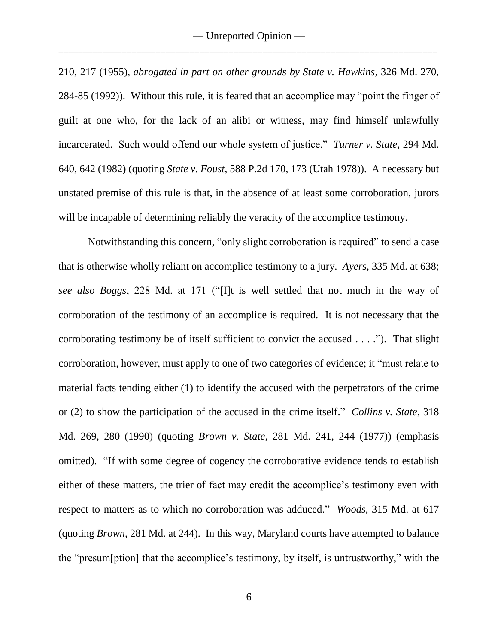210, 217 (1955), *abrogated in part on other grounds by State v. Hawkins*, 326 Md. 270, 284-85 (1992)). Without this rule, it is feared that an accomplice may "point the finger of guilt at one who, for the lack of an alibi or witness, may find himself unlawfully incarcerated. Such would offend our whole system of justice." *Turner v. State*, 294 Md. 640, 642 (1982) (quoting *State v. Foust*, 588 P.2d 170, 173 (Utah 1978)). A necessary but unstated premise of this rule is that, in the absence of at least some corroboration, jurors will be incapable of determining reliably the veracity of the accomplice testimony.

Notwithstanding this concern, "only slight corroboration is required" to send a case that is otherwise wholly reliant on accomplice testimony to a jury. *Ayers*, 335 Md. at 638; *see also Boggs*, 228 Md. at 171 ("[I]t is well settled that not much in the way of corroboration of the testimony of an accomplice is required. It is not necessary that the corroborating testimony be of itself sufficient to convict the accused . . . ."). That slight corroboration, however, must apply to one of two categories of evidence; it "must relate to material facts tending either (1) to identify the accused with the perpetrators of the crime or (2) to show the participation of the accused in the crime itself." *Collins v. State*, 318 Md. 269, 280 (1990) (quoting *Brown v. State*, 281 Md. 241, 244 (1977)) (emphasis omitted). "If with some degree of cogency the corroborative evidence tends to establish either of these matters, the trier of fact may credit the accomplice's testimony even with respect to matters as to which no corroboration was adduced." *Woods*, 315 Md. at 617 (quoting *Brown*, 281 Md. at 244). In this way, Maryland courts have attempted to balance the "presum[ption] that the accomplice's testimony, by itself, is untrustworthy," with the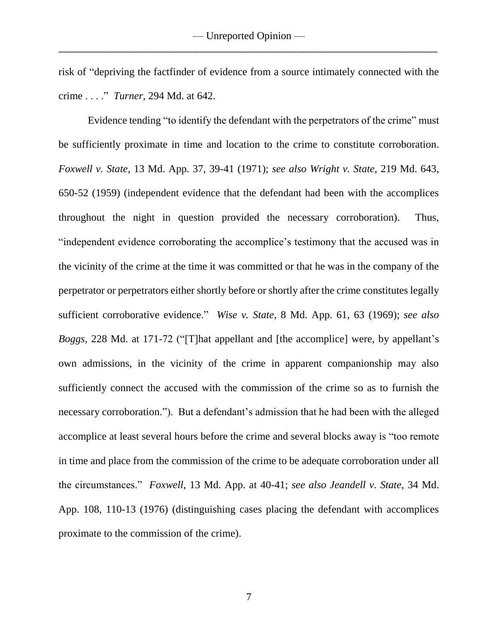risk of "depriving the factfinder of evidence from a source intimately connected with the crime . . . ." *Turner*, 294 Md. at 642.

Evidence tending "to identify the defendant with the perpetrators of the crime" must be sufficiently proximate in time and location to the crime to constitute corroboration. *Foxwell v. State*, 13 Md. App. 37, 39-41 (1971); *see also Wright v. State*, 219 Md. 643, 650-52 (1959) (independent evidence that the defendant had been with the accomplices throughout the night in question provided the necessary corroboration). Thus, "independent evidence corroborating the accomplice's testimony that the accused was in the vicinity of the crime at the time it was committed or that he was in the company of the perpetrator or perpetrators either shortly before or shortly after the crime constitutes legally sufficient corroborative evidence." *Wise v. State*, 8 Md. App. 61, 63 (1969); *see also Boggs*, 228 Md. at 171-72 ("[T]hat appellant and [the accomplice] were, by appellant's own admissions, in the vicinity of the crime in apparent companionship may also sufficiently connect the accused with the commission of the crime so as to furnish the necessary corroboration."). But a defendant's admission that he had been with the alleged accomplice at least several hours before the crime and several blocks away is "too remote in time and place from the commission of the crime to be adequate corroboration under all the circumstances." *Foxwell*, 13 Md. App. at 40-41; *see also Jeandell v. State*, 34 Md. App. 108, 110-13 (1976) (distinguishing cases placing the defendant with accomplices proximate to the commission of the crime).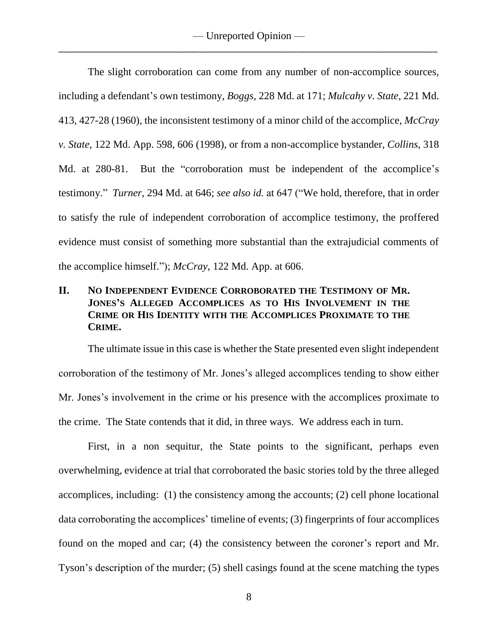The slight corroboration can come from any number of non-accomplice sources, including a defendant's own testimony, *Boggs*, 228 Md. at 171; *Mulcahy v. State*, 221 Md. 413, 427-28 (1960), the inconsistent testimony of a minor child of the accomplice, *McCray v. State*, 122 Md. App. 598, 606 (1998), or from a non-accomplice bystander, *Collins*, 318 Md. at 280-81. But the "corroboration must be independent of the accomplice's testimony." *Turner*, 294 Md. at 646; *see also id.* at 647 ("We hold, therefore, that in order to satisfy the rule of independent corroboration of accomplice testimony, the proffered evidence must consist of something more substantial than the extrajudicial comments of the accomplice himself."); *McCray*, 122 Md. App. at 606.

# **II. NO INDEPENDENT EVIDENCE CORROBORATED THE TESTIMONY OF MR. JONES'S ALLEGED ACCOMPLICES AS TO HIS INVOLVEMENT IN THE CRIME OR HIS IDENTITY WITH THE ACCOMPLICES PROXIMATE TO THE CRIME.**

The ultimate issue in this case is whether the State presented even slight independent corroboration of the testimony of Mr. Jones's alleged accomplices tending to show either Mr. Jones's involvement in the crime or his presence with the accomplices proximate to the crime. The State contends that it did, in three ways. We address each in turn.

First, in a non sequitur, the State points to the significant, perhaps even overwhelming, evidence at trial that corroborated the basic stories told by the three alleged accomplices, including: (1) the consistency among the accounts; (2) cell phone locational data corroborating the accomplices' timeline of events; (3) fingerprints of four accomplices found on the moped and car; (4) the consistency between the coroner's report and Mr. Tyson's description of the murder; (5) shell casings found at the scene matching the types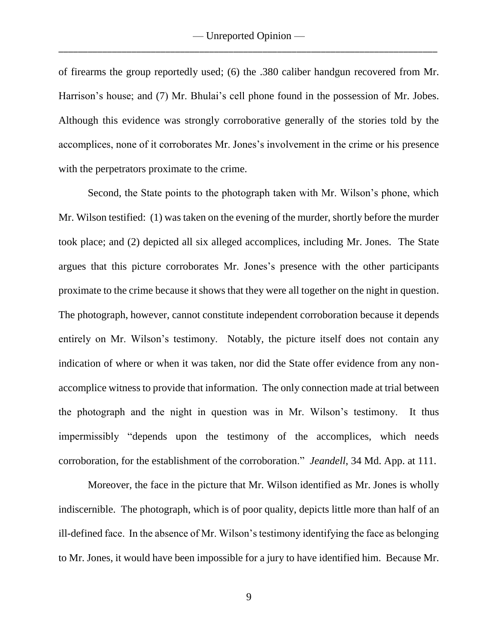of firearms the group reportedly used; (6) the .380 caliber handgun recovered from Mr. Harrison's house; and (7) Mr. Bhulai's cell phone found in the possession of Mr. Jobes. Although this evidence was strongly corroborative generally of the stories told by the accomplices, none of it corroborates Mr. Jones's involvement in the crime or his presence with the perpetrators proximate to the crime.

Second, the State points to the photograph taken with Mr. Wilson's phone, which Mr. Wilson testified: (1) was taken on the evening of the murder, shortly before the murder took place; and (2) depicted all six alleged accomplices, including Mr. Jones. The State argues that this picture corroborates Mr. Jones's presence with the other participants proximate to the crime because it shows that they were all together on the night in question. The photograph, however, cannot constitute independent corroboration because it depends entirely on Mr. Wilson's testimony. Notably, the picture itself does not contain any indication of where or when it was taken, nor did the State offer evidence from any nonaccomplice witness to provide that information. The only connection made at trial between the photograph and the night in question was in Mr. Wilson's testimony. It thus impermissibly "depends upon the testimony of the accomplices, which needs corroboration, for the establishment of the corroboration." *Jeandell*, 34 Md. App. at 111.

Moreover, the face in the picture that Mr. Wilson identified as Mr. Jones is wholly indiscernible. The photograph, which is of poor quality, depicts little more than half of an ill-defined face. In the absence of Mr. Wilson's testimony identifying the face as belonging to Mr. Jones, it would have been impossible for a jury to have identified him. Because Mr.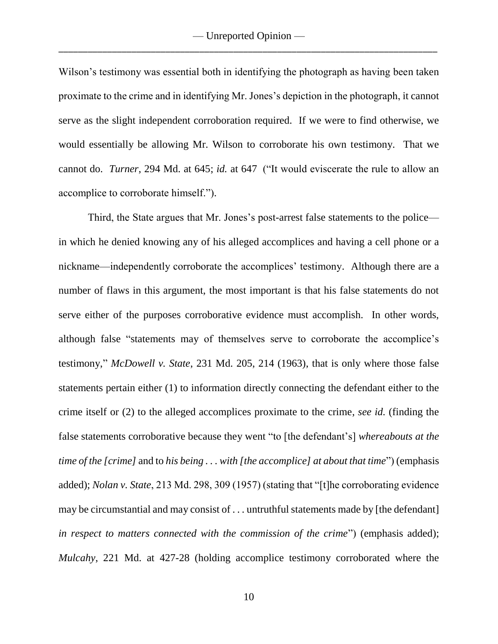Wilson's testimony was essential both in identifying the photograph as having been taken proximate to the crime and in identifying Mr. Jones's depiction in the photograph, it cannot serve as the slight independent corroboration required. If we were to find otherwise, we would essentially be allowing Mr. Wilson to corroborate his own testimony. That we cannot do. *Turner*, 294 Md. at 645; *id.* at 647 ("It would eviscerate the rule to allow an accomplice to corroborate himself.").

Third, the State argues that Mr. Jones's post-arrest false statements to the police in which he denied knowing any of his alleged accomplices and having a cell phone or a nickname—independently corroborate the accomplices' testimony. Although there are a number of flaws in this argument, the most important is that his false statements do not serve either of the purposes corroborative evidence must accomplish. In other words, although false "statements may of themselves serve to corroborate the accomplice's testimony," *McDowell v. State*, 231 Md. 205, 214 (1963), that is only where those false statements pertain either (1) to information directly connecting the defendant either to the crime itself or (2) to the alleged accomplices proximate to the crime, *see id.* (finding the false statements corroborative because they went "to [the defendant's] *whereabouts at the time of the [crime]* and to *his being . . . with [the accomplice] at about that time*") (emphasis added); *Nolan v. State*, 213 Md. 298, 309 (1957) (stating that "[t]he corroborating evidence may be circumstantial and may consist of . . . untruthful statements made by [the defendant] *in respect to matters connected with the commission of the crime*") (emphasis added); *Mulcahy*, 221 Md. at 427-28 (holding accomplice testimony corroborated where the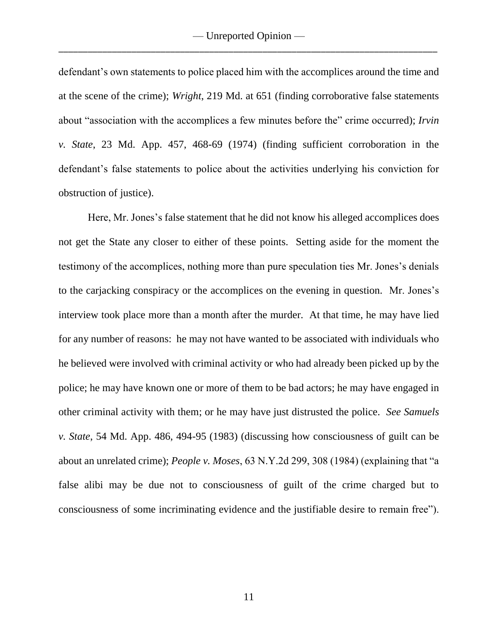defendant's own statements to police placed him with the accomplices around the time and at the scene of the crime); *Wright*, 219 Md. at 651 (finding corroborative false statements about "association with the accomplices a few minutes before the" crime occurred); *Irvin v. State*, 23 Md. App. 457, 468-69 (1974) (finding sufficient corroboration in the defendant's false statements to police about the activities underlying his conviction for obstruction of justice).

Here, Mr. Jones's false statement that he did not know his alleged accomplices does not get the State any closer to either of these points. Setting aside for the moment the testimony of the accomplices, nothing more than pure speculation ties Mr. Jones's denials to the carjacking conspiracy or the accomplices on the evening in question. Mr. Jones's interview took place more than a month after the murder. At that time, he may have lied for any number of reasons: he may not have wanted to be associated with individuals who he believed were involved with criminal activity or who had already been picked up by the police; he may have known one or more of them to be bad actors; he may have engaged in other criminal activity with them; or he may have just distrusted the police. *See Samuels v. State*, 54 Md. App. 486, 494-95 (1983) (discussing how consciousness of guilt can be about an unrelated crime); *People v. Moses*, 63 N.Y.2d 299, 308 (1984) (explaining that "a false alibi may be due not to consciousness of guilt of the crime charged but to consciousness of some incriminating evidence and the justifiable desire to remain free").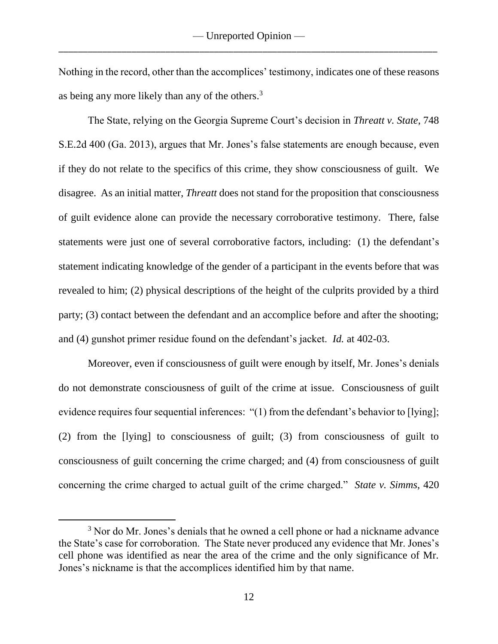Nothing in the record, other than the accomplices' testimony, indicates one of these reasons as being any more likely than any of the others.<sup>3</sup>

The State, relying on the Georgia Supreme Court's decision in *Threatt v. State*, 748 S.E.2d 400 (Ga. 2013), argues that Mr. Jones's false statements are enough because, even if they do not relate to the specifics of this crime, they show consciousness of guilt. We disagree. As an initial matter, *Threatt* does not stand for the proposition that consciousness of guilt evidence alone can provide the necessary corroborative testimony. There, false statements were just one of several corroborative factors, including: (1) the defendant's statement indicating knowledge of the gender of a participant in the events before that was revealed to him; (2) physical descriptions of the height of the culprits provided by a third party; (3) contact between the defendant and an accomplice before and after the shooting; and (4) gunshot primer residue found on the defendant's jacket. *Id.* at 402-03.

Moreover, even if consciousness of guilt were enough by itself, Mr. Jones's denials do not demonstrate consciousness of guilt of the crime at issue. Consciousness of guilt evidence requires four sequential inferences: "(1) from the defendant's behavior to [lying]; (2) from the [lying] to consciousness of guilt; (3) from consciousness of guilt to consciousness of guilt concerning the crime charged; and (4) from consciousness of guilt concerning the crime charged to actual guilt of the crime charged." *State v. Simms*, 420

 $\overline{a}$ 

<sup>&</sup>lt;sup>3</sup> Nor do Mr. Jones's denials that he owned a cell phone or had a nickname advance the State's case for corroboration. The State never produced any evidence that Mr. Jones's cell phone was identified as near the area of the crime and the only significance of Mr. Jones's nickname is that the accomplices identified him by that name.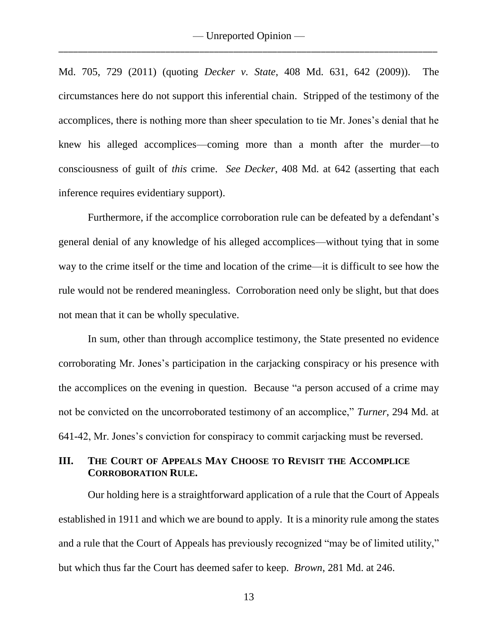Md. 705, 729 (2011) (quoting *Decker v. State*, 408 Md. 631, 642 (2009)). The circumstances here do not support this inferential chain. Stripped of the testimony of the accomplices, there is nothing more than sheer speculation to tie Mr. Jones's denial that he knew his alleged accomplices—coming more than a month after the murder—to consciousness of guilt of *this* crime. *See Decker*, 408 Md. at 642 (asserting that each inference requires evidentiary support).

Furthermore, if the accomplice corroboration rule can be defeated by a defendant's general denial of any knowledge of his alleged accomplices—without tying that in some way to the crime itself or the time and location of the crime—it is difficult to see how the rule would not be rendered meaningless. Corroboration need only be slight, but that does not mean that it can be wholly speculative.

In sum, other than through accomplice testimony, the State presented no evidence corroborating Mr. Jones's participation in the carjacking conspiracy or his presence with the accomplices on the evening in question. Because "a person accused of a crime may not be convicted on the uncorroborated testimony of an accomplice," *Turner*, 294 Md. at 641-42, Mr. Jones's conviction for conspiracy to commit carjacking must be reversed.

# **III. THE COURT OF APPEALS MAY CHOOSE TO REVISIT THE ACCOMPLICE CORROBORATION RULE.**

Our holding here is a straightforward application of a rule that the Court of Appeals established in 1911 and which we are bound to apply. It is a minority rule among the states and a rule that the Court of Appeals has previously recognized "may be of limited utility," but which thus far the Court has deemed safer to keep. *Brown*, 281 Md. at 246.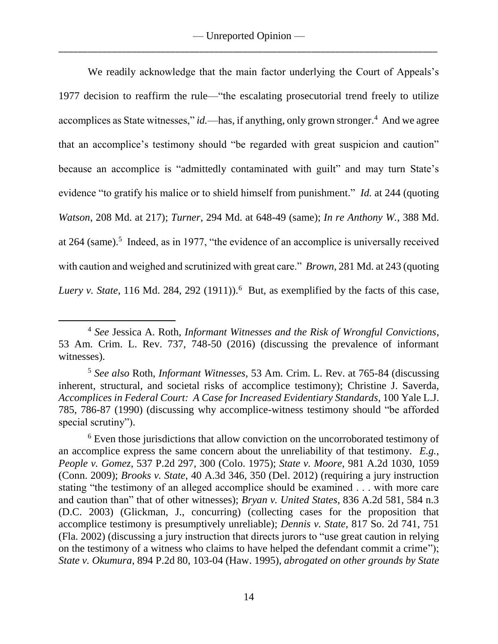We readily acknowledge that the main factor underlying the Court of Appeals's 1977 decision to reaffirm the rule—"the escalating prosecutorial trend freely to utilize accomplices as State witnesses," *id*.—has, if anything, only grown stronger.<sup>4</sup> And we agree that an accomplice's testimony should "be regarded with great suspicion and caution" because an accomplice is "admittedly contaminated with guilt" and may turn State's evidence "to gratify his malice or to shield himself from punishment." *Id.* at 244 (quoting *Watson*, 208 Md. at 217); *Turner*, 294 Md. at 648-49 (same); *In re Anthony W.*, 388 Md. at 264 (same).<sup>5</sup> Indeed, as in 1977, "the evidence of an accomplice is universally received with caution and weighed and scrutinized with great care." *Brown*, 281 Md. at 243 (quoting *Luery v. State*, 116 Md. 284, 292 (1911)).<sup>6</sup> But, as exemplified by the facts of this case,

 $\overline{a}$ 

<sup>4</sup> *See* Jessica A. Roth, *Informant Witnesses and the Risk of Wrongful Convictions*, 53 Am. Crim. L. Rev. 737, 748-50 (2016) (discussing the prevalence of informant witnesses).

<sup>5</sup> *See also* Roth, *Informant Witnesses*, 53 Am. Crim. L. Rev. at 765-84 (discussing inherent, structural, and societal risks of accomplice testimony); Christine J. Saverda, *Accomplices in Federal Court: A Case for Increased Evidentiary Standards*, 100 Yale L.J. 785, 786-87 (1990) (discussing why accomplice-witness testimony should "be afforded special scrutiny").

<sup>&</sup>lt;sup>6</sup> Even those jurisdictions that allow conviction on the uncorroborated testimony of an accomplice express the same concern about the unreliability of that testimony. *E.g.*, *People v. Gomez*, 537 P.2d 297, 300 (Colo. 1975); *State v. Moore*, 981 A.2d 1030, 1059 (Conn. 2009); *Brooks v. State*, 40 A.3d 346, 350 (Del. 2012) (requiring a jury instruction stating "the testimony of an alleged accomplice should be examined . . . with more care and caution than" that of other witnesses); *Bryan v. United States*, 836 A.2d 581, 584 n.3 (D.C. 2003) (Glickman, J., concurring) (collecting cases for the proposition that accomplice testimony is presumptively unreliable); *Dennis v. State*, 817 So. 2d 741, 751 (Fla. 2002) (discussing a jury instruction that directs jurors to "use great caution in relying on the testimony of a witness who claims to have helped the defendant commit a crime"); *State v. Okumura*, 894 P.2d 80, 103-04 (Haw. 1995), *abrogated on other grounds by State*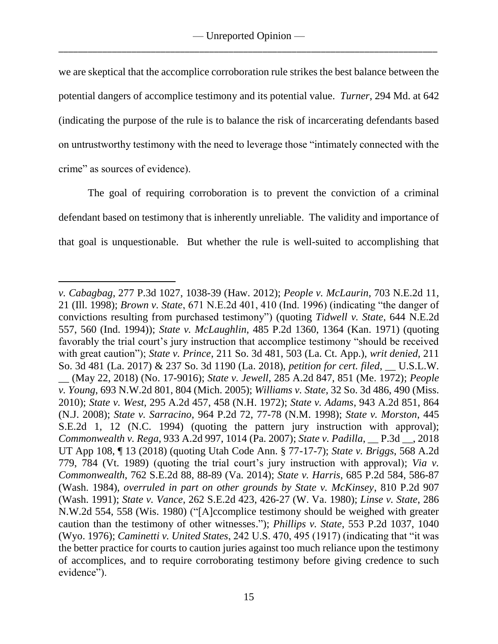we are skeptical that the accomplice corroboration rule strikes the best balance between the potential dangers of accomplice testimony and its potential value. *Turner*, 294 Md. at 642 (indicating the purpose of the rule is to balance the risk of incarcerating defendants based on untrustworthy testimony with the need to leverage those "intimately connected with the crime" as sources of evidence).

The goal of requiring corroboration is to prevent the conviction of a criminal defendant based on testimony that is inherently unreliable. The validity and importance of that goal is unquestionable. But whether the rule is well-suited to accomplishing that

 $\overline{a}$ *v. Cabagbag*, 277 P.3d 1027, 1038-39 (Haw. 2012); *People v. McLaurin*, 703 N.E.2d 11, 21 (Ill. 1998); *Brown v. State*, 671 N.E.2d 401, 410 (Ind. 1996) (indicating "the danger of convictions resulting from purchased testimony") (quoting *Tidwell v. State*, 644 N.E.2d 557, 560 (Ind. 1994)); *State v. McLaughlin*, 485 P.2d 1360, 1364 (Kan. 1971) (quoting favorably the trial court's jury instruction that accomplice testimony "should be received with great caution"); *State v. Prince*, 211 So. 3d 481, 503 (La. Ct. App.), *writ denied*, 211 So. 3d 481 (La. 2017) & 237 So. 3d 1190 (La. 2018), *petition for cert. filed*, \_\_ U.S.L.W. \_\_ (May 22, 2018) (No. 17-9016); *State v. Jewell*, 285 A.2d 847, 851 (Me. 1972); *People v. Young*, 693 N.W.2d 801, 804 (Mich. 2005); *Williams v. State*, 32 So. 3d 486, 490 (Miss. 2010); *State v. West*, 295 A.2d 457, 458 (N.H. 1972); *State v. Adams*, 943 A.2d 851, 864 (N.J. 2008); *State v. Sarracino*, 964 P.2d 72, 77-78 (N.M. 1998); *State v. Morston*, 445 S.E.2d 1, 12 (N.C. 1994) (quoting the pattern jury instruction with approval); *Commonwealth v. Rega*, 933 A.2d 997, 1014 (Pa. 2007); *State v. Padilla*, \_\_ P.3d \_\_, 2018 UT App 108, ¶ 13 (2018) (quoting Utah Code Ann. § 77-17-7); *State v. Briggs*, 568 A.2d 779, 784 (Vt. 1989) (quoting the trial court's jury instruction with approval); *Via v. Commonwealth*, 762 S.E.2d 88, 88-89 (Va. 2014); *State v. Harris*, 685 P.2d 584, 586-87 (Wash. 1984), *overruled in part on other grounds by State v. McKinsey*, 810 P.2d 907 (Wash. 1991); *State v. Vance*, 262 S.E.2d 423, 426-27 (W. Va. 1980); *Linse v. State*, 286 N.W.2d 554, 558 (Wis. 1980) ("[A]ccomplice testimony should be weighed with greater caution than the testimony of other witnesses."); *Phillips v. State*, 553 P.2d 1037, 1040 (Wyo. 1976); *Caminetti v. United States*, 242 U.S. 470, 495 (1917) (indicating that "it was the better practice for courts to caution juries against too much reliance upon the testimony of accomplices, and to require corroborating testimony before giving credence to such evidence").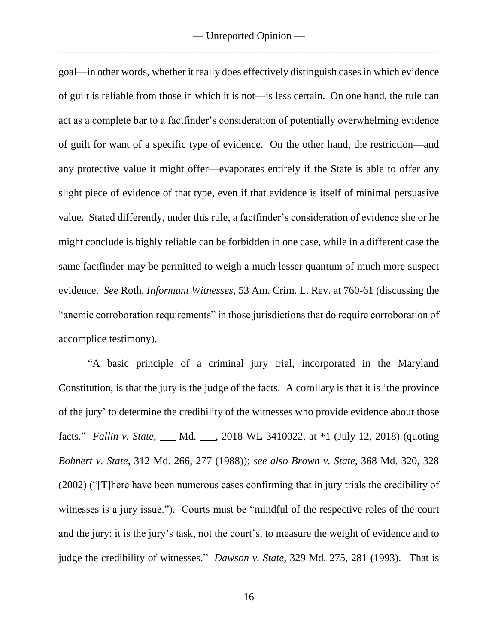goal—in other words, whether it really does effectively distinguish cases in which evidence of guilt is reliable from those in which it is not—is less certain. On one hand, the rule can act as a complete bar to a factfinder's consideration of potentially overwhelming evidence of guilt for want of a specific type of evidence. On the other hand, the restriction—and any protective value it might offer—evaporates entirely if the State is able to offer any slight piece of evidence of that type, even if that evidence is itself of minimal persuasive value. Stated differently, under this rule, a factfinder's consideration of evidence she or he might conclude is highly reliable can be forbidden in one case, while in a different case the same factfinder may be permitted to weigh a much lesser quantum of much more suspect evidence. *See* Roth, *Informant Witnesses*, 53 Am. Crim. L. Rev. at 760-61 (discussing the "anemic corroboration requirements" in those jurisdictions that do require corroboration of accomplice testimony).

"A basic principle of a criminal jury trial, incorporated in the Maryland Constitution, is that the jury is the judge of the facts. A corollary is that it is 'the province of the jury' to determine the credibility of the witnesses who provide evidence about those facts." *Fallin v. State*, \_\_\_ Md. \_\_\_, 2018 WL 3410022, at \*1 (July 12, 2018) (quoting *Bohnert v. State*, 312 Md. 266, 277 (1988)); *see also Brown v. State*, 368 Md. 320, 328 (2002) ("[T]here have been numerous cases confirming that in jury trials the credibility of witnesses is a jury issue."). Courts must be "mindful of the respective roles of the court and the jury; it is the jury's task, not the court's, to measure the weight of evidence and to judge the credibility of witnesses." *Dawson v. State*, 329 Md. 275, 281 (1993). That is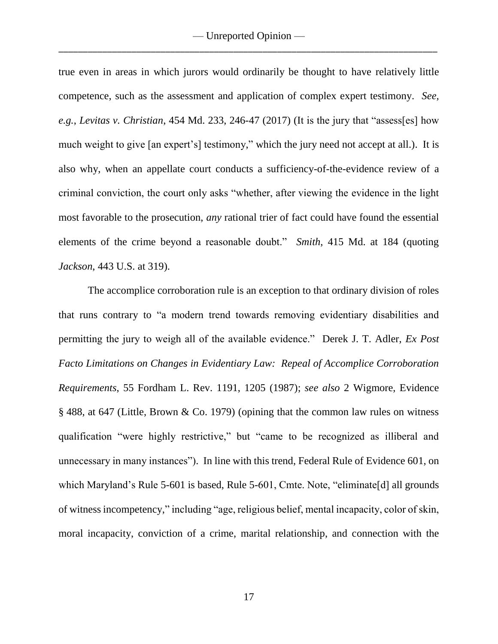true even in areas in which jurors would ordinarily be thought to have relatively little competence, such as the assessment and application of complex expert testimony. *See, e.g.*, *Levitas v. Christian*, 454 Md. 233, 246-47 (2017) (It is the jury that "assess[es] how much weight to give [an expert's] testimony," which the jury need not accept at all.). It is also why, when an appellate court conducts a sufficiency-of-the-evidence review of a criminal conviction, the court only asks "whether, after viewing the evidence in the light most favorable to the prosecution, *any* rational trier of fact could have found the essential elements of the crime beyond a reasonable doubt." *Smith*, 415 Md. at 184 (quoting *Jackson*, 443 U.S. at 319).

The accomplice corroboration rule is an exception to that ordinary division of roles that runs contrary to "a modern trend towards removing evidentiary disabilities and permitting the jury to weigh all of the available evidence." Derek J. T. Adler, *Ex Post Facto Limitations on Changes in Evidentiary Law: Repeal of Accomplice Corroboration Requirements*, 55 Fordham L. Rev. 1191, 1205 (1987); *see also* 2 Wigmore, Evidence § 488, at 647 (Little, Brown & Co. 1979) (opining that the common law rules on witness qualification "were highly restrictive," but "came to be recognized as illiberal and unnecessary in many instances"). In line with this trend, Federal Rule of Evidence 601, on which Maryland's Rule 5-601 is based, Rule 5-601, Cmte. Note, "eliminate<sup>[d]</sup> all grounds of witness incompetency," including "age, religious belief, mental incapacity, color of skin, moral incapacity, conviction of a crime, marital relationship, and connection with the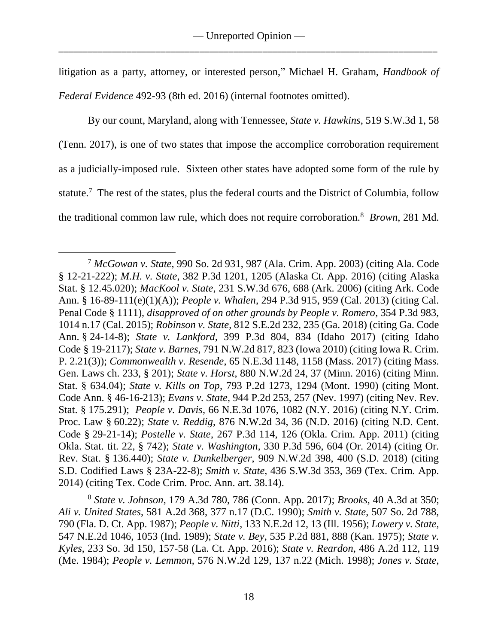litigation as a party, attorney, or interested person," Michael H. Graham, *Handbook of Federal Evidence* 492-93 (8th ed. 2016) (internal footnotes omitted).

By our count, Maryland, along with Tennessee, *State v. Hawkins*, 519 S.W.3d 1, 58 (Tenn. 2017), is one of two states that impose the accomplice corroboration requirement as a judicially-imposed rule. Sixteen other states have adopted some form of the rule by statute.<sup>7</sup> The rest of the states, plus the federal courts and the District of Columbia, follow the traditional common law rule, which does not require corroboration.<sup>8</sup> *Brown*, 281 Md.

 $\overline{a}$ <sup>7</sup> *McGowan v. State*, 990 So. 2d 931, 987 (Ala. Crim. App. 2003) (citing Ala. Code § 12-21-222); *M.H. v. State*, 382 P.3d 1201, 1205 (Alaska Ct. App. 2016) (citing Alaska Stat. § 12.45.020); *MacKool v. State*, 231 S.W.3d 676, 688 (Ark. 2006) (citing Ark. Code Ann. § 16-89-111(e)(1)(A)); *People v. Whalen*, 294 P.3d 915, 959 (Cal. 2013) (citing Cal. Penal Code § 1111), *disapproved of on other grounds by People v. Romero*, 354 P.3d 983, 1014 n.17 (Cal. 2015); *Robinson v. State*, 812 S.E.2d 232, 235 (Ga. 2018) (citing Ga. Code Ann. § 24-14-8); *State v. Lankford*, 399 P.3d 804, 834 (Idaho 2017) (citing Idaho Code § 19-2117); *State v. Barnes*, 791 N.W.2d 817, 823 (Iowa 2010) (citing Iowa R. Crim. P. 2.21(3)); *Commonwealth v. Resende*, 65 N.E.3d 1148, 1158 (Mass. 2017) (citing Mass. Gen. Laws ch. 233, § 201); *State v. Horst*, 880 N.W.2d 24, 37 (Minn. 2016) (citing Minn. Stat. § 634.04); *State v. Kills on Top*, 793 P.2d 1273, 1294 (Mont. 1990) (citing Mont. Code Ann. § 46-16-213); *Evans v. State*, 944 P.2d 253, 257 (Nev. 1997) (citing Nev. Rev. Stat. § 175.291); *People v. Davis*, 66 N.E.3d 1076, 1082 (N.Y. 2016) (citing N.Y. Crim. Proc. Law § 60.22); *State v. Reddig*, 876 N.W.2d 34, 36 (N.D. 2016) (citing N.D. Cent. Code § 29-21-14); *Postelle v. State*, 267 P.3d 114, 126 (Okla. Crim. App. 2011) (citing Okla. Stat. tit. 22, § 742); *State v. Washington*, 330 P.3d 596, 604 (Or. 2014) (citing Or. Rev. Stat. § 136.440); *State v. Dunkelberger*, 909 N.W.2d 398, 400 (S.D. 2018) (citing S.D. Codified Laws § 23A-22-8); *Smith v. State*, 436 S.W.3d 353, 369 (Tex. Crim. App. 2014) (citing Tex. Code Crim. Proc. Ann. art. 38.14).

<sup>8</sup> *State v. Johnson*, 179 A.3d 780, 786 (Conn. App. 2017); *Brooks*, 40 A.3d at 350; *Ali v. United States*, 581 A.2d 368, 377 n.17 (D.C. 1990); *Smith v. State*, 507 So. 2d 788, 790 (Fla. D. Ct. App. 1987); *People v. Nitti*, 133 N.E.2d 12, 13 (Ill. 1956); *Lowery v. State*, 547 N.E.2d 1046, 1053 (Ind. 1989); *State v. Bey*, 535 P.2d 881, 888 (Kan. 1975); *State v. Kyles*, 233 So. 3d 150, 157-58 (La. Ct. App. 2016); *State v. Reardon*, 486 A.2d 112, 119 (Me. 1984); *People v. Lemmon*, 576 N.W.2d 129, 137 n.22 (Mich. 1998); *Jones v. State*,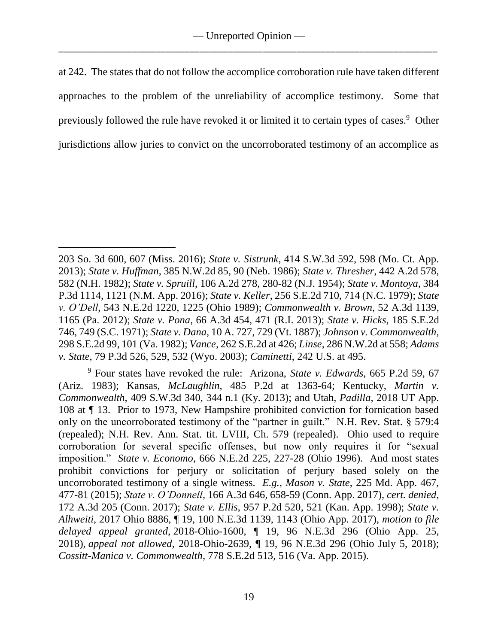at 242. The states that do not follow the accomplice corroboration rule have taken different approaches to the problem of the unreliability of accomplice testimony. Some that previously followed the rule have revoked it or limited it to certain types of cases.<sup>9</sup> Other jurisdictions allow juries to convict on the uncorroborated testimony of an accomplice as

 $\overline{a}$ 

<sup>203</sup> So. 3d 600, 607 (Miss. 2016); *State v. Sistrunk*, 414 S.W.3d 592, 598 (Mo. Ct. App. 2013); *State v. Huffman*, 385 N.W.2d 85, 90 (Neb. 1986); *State v. Thresher*, 442 A.2d 578, 582 (N.H. 1982); *State v. Spruill*, 106 A.2d 278, 280-82 (N.J. 1954); *State v. Montoya*, 384 P.3d 1114, 1121 (N.M. App. 2016); *State v. Keller*, 256 S.E.2d 710, 714 (N.C. 1979); *State v. O'Dell*, 543 N.E.2d 1220, 1225 (Ohio 1989); *Commonwealth v. Brown*, 52 A.3d 1139, 1165 (Pa. 2012); *State v. Pona*, 66 A.3d 454, 471 (R.I. 2013); *State v. Hicks*, 185 S.E.2d 746, 749 (S.C. 1971); *State v. Dana*, 10 A. 727, 729 (Vt. 1887); *Johnson v. Commonwealth*, 298 S.E.2d 99, 101 (Va. 1982); *Vance*, 262 S.E.2d at 426; *Linse*, 286 N.W.2d at 558; *Adams v. State*, 79 P.3d 526, 529, 532 (Wyo. 2003); *Caminetti*, 242 U.S. at 495.

<sup>9</sup> Four states have revoked the rule: Arizona, *State v. Edwards*, 665 P.2d 59, 67 (Ariz. 1983); Kansas, *McLaughlin*, 485 P.2d at 1363-64; Kentucky, *Martin v. Commonwealth*, 409 S.W.3d 340, 344 n.1 (Ky. 2013); and Utah, *Padilla*, 2018 UT App. 108 at ¶ 13. Prior to 1973, New Hampshire prohibited conviction for fornication based only on the uncorroborated testimony of the "partner in guilt." N.H. Rev. Stat. § 579:4 (repealed); N.H. Rev. Ann. Stat. tit. LVIII, Ch. 579 (repealed). Ohio used to require corroboration for several specific offenses, but now only requires it for "sexual imposition." *State v. Economo*, 666 N.E.2d 225, 227-28 (Ohio 1996). And most states prohibit convictions for perjury or solicitation of perjury based solely on the uncorroborated testimony of a single witness. *E.g.*, *Mason v. State*, 225 Md. App. 467, 477-81 (2015); *State v. O'Donnell*, 166 A.3d 646, 658-59 (Conn. App. 2017), *cert. denied*, 172 A.3d 205 (Conn. 2017); *State v. Ellis*, 957 P.2d 520, 521 (Kan. App. 1998); *State v. Alhweiti*, 2017 Ohio 8886, ¶ 19, 100 N.E.3d 1139, 1143 (Ohio App. 2017), *motion to file delayed appeal granted*, 2018-Ohio-1600, ¶ 19, 96 N.E.3d 296 (Ohio App. 25, 2018), *appeal not allowed*, 2018-Ohio-2639, ¶ 19, 96 N.E.3d 296 (Ohio July 5, 2018); *Cossitt-Manica v. Commonwealth*, 778 S.E.2d 513, 516 (Va. App. 2015).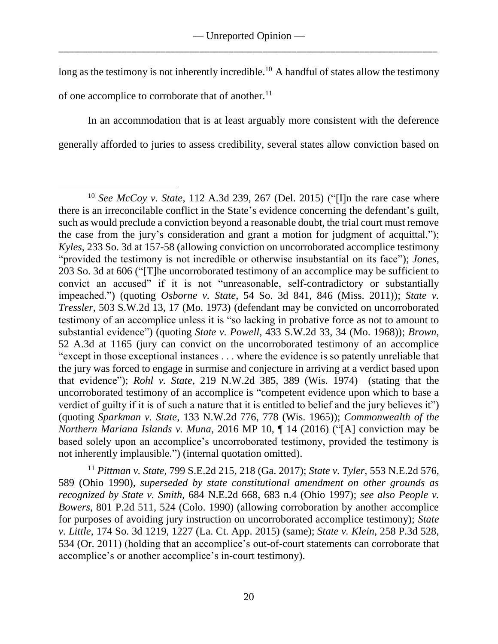long as the testimony is not inherently incredible.<sup>10</sup> A handful of states allow the testimony of one accomplice to corroborate that of another.<sup>11</sup>

In an accommodation that is at least arguably more consistent with the deference generally afforded to juries to assess credibility, several states allow conviction based on

<sup>11</sup> *Pittman v. State*, 799 S.E.2d 215, 218 (Ga. 2017); *State v. Tyler*, 553 N.E.2d 576, 589 (Ohio 1990), *superseded by state constitutional amendment on other grounds as recognized by State v. Smith*, 684 N.E.2d 668, 683 n.4 (Ohio 1997); *see also People v. Bowers*, 801 P.2d 511, 524 (Colo. 1990) (allowing corroboration by another accomplice for purposes of avoiding jury instruction on uncorroborated accomplice testimony); *State v. Little*, 174 So. 3d 1219, 1227 (La. Ct. App. 2015) (same); *State v. Klein*, 258 P.3d 528, 534 (Or. 2011) (holding that an accomplice's out-of-court statements can corroborate that accomplice's or another accomplice's in-court testimony).

 $\overline{a}$ <sup>10</sup> *See McCoy v. State*, 112 A.3d 239, 267 (Del. 2015) ("[I]n the rare case where there is an irreconcilable conflict in the State's evidence concerning the defendant's guilt, such as would preclude a conviction beyond a reasonable doubt, the trial court must remove the case from the jury's consideration and grant a motion for judgment of acquittal."); *Kyles*, 233 So. 3d at 157-58 (allowing conviction on uncorroborated accomplice testimony "provided the testimony is not incredible or otherwise insubstantial on its face"); *Jones*, 203 So. 3d at 606 ("[T]he uncorroborated testimony of an accomplice may be sufficient to convict an accused" if it is not "unreasonable, self-contradictory or substantially impeached.") (quoting *Osborne v. State*, 54 So. 3d 841, 846 (Miss. 2011)); *State v. Tressler*, 503 S.W.2d 13, 17 (Mo. 1973) (defendant may be convicted on uncorroborated testimony of an accomplice unless it is "so lacking in probative force as not to amount to substantial evidence") (quoting *State v. Powell*, 433 S.W.2d 33, 34 (Mo. 1968)); *Brown*, 52 A.3d at 1165 (jury can convict on the uncorroborated testimony of an accomplice "except in those exceptional instances . . . where the evidence is so patently unreliable that the jury was forced to engage in surmise and conjecture in arriving at a verdict based upon that evidence"); *Rohl v. State*, 219 N.W.2d 385, 389 (Wis. 1974) (stating that the uncorroborated testimony of an accomplice is "competent evidence upon which to base a verdict of guilty if it is of such a nature that it is entitled to belief and the jury believes it") (quoting *Sparkman v. State*, 133 N.W.2d 776, 778 (Wis. 1965)); *Commonwealth of the Northern Mariana Islands v. Muna*, 2016 MP 10, ¶ 14 (2016) ("[A] conviction may be based solely upon an accomplice's uncorroborated testimony, provided the testimony is not inherently implausible.") (internal quotation omitted).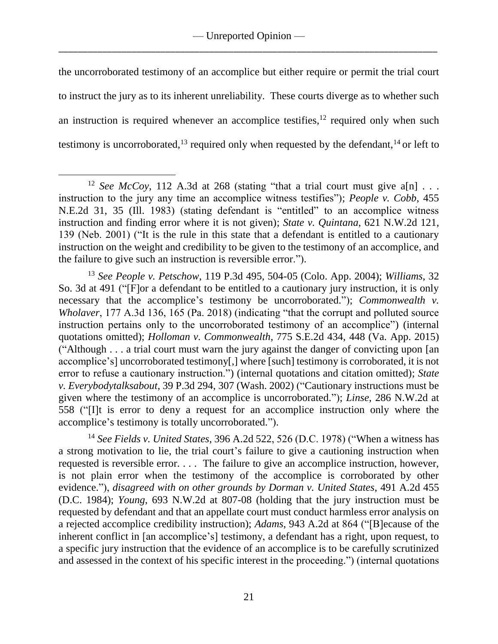the uncorroborated testimony of an accomplice but either require or permit the trial court to instruct the jury as to its inherent unreliability. These courts diverge as to whether such an instruction is required whenever an accomplice testifies, $12$  required only when such testimony is uncorroborated,<sup>13</sup> required only when requested by the defendant,<sup>14</sup> or left to

 $\overline{a}$ 

<sup>14</sup> *See Fields v. United States*, 396 A.2d 522, 526 (D.C. 1978) ("When a witness has a strong motivation to lie, the trial court's failure to give a cautioning instruction when requested is reversible error. . . . The failure to give an accomplice instruction, however, is not plain error when the testimony of the accomplice is corroborated by other evidence."), *disagreed with on other grounds by Dorman v. United States*, 491 A.2d 455 (D.C. 1984); *Young*, 693 N.W.2d at 807-08 (holding that the jury instruction must be requested by defendant and that an appellate court must conduct harmless error analysis on a rejected accomplice credibility instruction); *Adams*, 943 A.2d at 864 ("[B]ecause of the inherent conflict in [an accomplice's] testimony, a defendant has a right, upon request, to a specific jury instruction that the evidence of an accomplice is to be carefully scrutinized and assessed in the context of his specific interest in the proceeding.") (internal quotations

<sup>&</sup>lt;sup>12</sup> *See McCoy*, 112 A.3d at 268 (stating "that a trial court must give a[n]  $\ldots$ instruction to the jury any time an accomplice witness testifies"); *People v. Cobb*, 455 N.E.2d 31, 35 (Ill. 1983) (stating defendant is "entitled" to an accomplice witness instruction and finding error where it is not given); *State v. Quintana*, 621 N.W.2d 121, 139 (Neb. 2001) ("It is the rule in this state that a defendant is entitled to a cautionary instruction on the weight and credibility to be given to the testimony of an accomplice, and the failure to give such an instruction is reversible error.").

<sup>13</sup> *See People v. Petschow*, 119 P.3d 495, 504-05 (Colo. App. 2004); *Williams*, 32 So. 3d at 491 ("[F]or a defendant to be entitled to a cautionary jury instruction, it is only necessary that the accomplice's testimony be uncorroborated."); *Commonwealth v. Wholaver*, 177 A.3d 136, 165 (Pa. 2018) (indicating "that the corrupt and polluted source instruction pertains only to the uncorroborated testimony of an accomplice") (internal quotations omitted); *Holloman v. Commonwealth*, 775 S.E.2d 434, 448 (Va. App. 2015) ("Although . . . a trial court must warn the jury against the danger of convicting upon [an accomplice's] uncorroborated testimony[,] where [such] testimony is corroborated, it is not error to refuse a cautionary instruction.") (internal quotations and citation omitted); *State v. Everybodytalksabout*, 39 P.3d 294, 307 (Wash. 2002) ("Cautionary instructions must be given where the testimony of an accomplice is uncorroborated."); *Linse*, 286 N.W.2d at 558 ("[I]t is error to deny a request for an accomplice instruction only where the accomplice's testimony is totally uncorroborated.").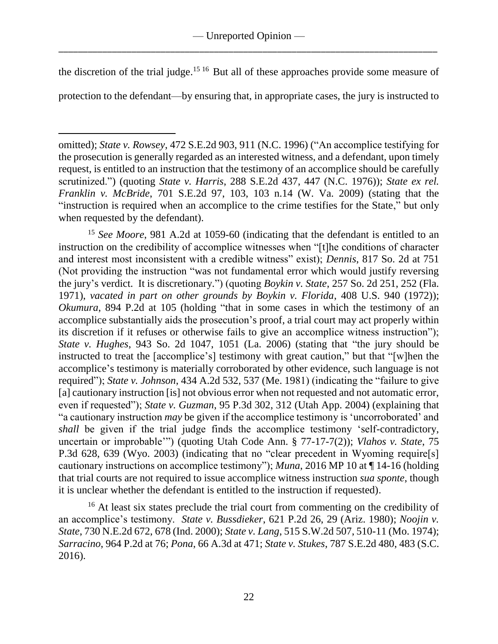the discretion of the trial judge.<sup>15 16</sup> But all of these approaches provide some measure of

protection to the defendant—by ensuring that, in appropriate cases, the jury is instructed to

 $\overline{a}$ 

<sup>15</sup> *See Moore*, 981 A.2d at 1059-60 (indicating that the defendant is entitled to an instruction on the credibility of accomplice witnesses when "[t]he conditions of character and interest most inconsistent with a credible witness" exist); *Dennis*, 817 So. 2d at 751 (Not providing the instruction "was not fundamental error which would justify reversing the jury's verdict. It is discretionary.") (quoting *Boykin v. State*, 257 So. 2d 251, 252 (Fla. 1971), *vacated in part on other grounds by Boykin v. Florida*, 408 U.S. 940 (1972)); *Okumura*, 894 P.2d at 105 (holding "that in some cases in which the testimony of an accomplice substantially aids the prosecution's proof, a trial court may act properly within its discretion if it refuses or otherwise fails to give an accomplice witness instruction"); *State v. Hughes*, 943 So. 2d 1047, 1051 (La. 2006) (stating that "the jury should be instructed to treat the [accomplice's] testimony with great caution," but that "[w]hen the accomplice's testimony is materially corroborated by other evidence, such language is not required"); *State v. Johnson*, 434 A.2d 532, 537 (Me. 1981) (indicating the "failure to give [a] cautionary instruction [is] not obvious error when not requested and not automatic error, even if requested"); *State v. Guzman*, 95 P.3d 302, 312 (Utah App. 2004) (explaining that "a cautionary instruction *may* be given if the accomplice testimony is 'uncorroborated' and *shall* be given if the trial judge finds the accomplice testimony 'self-contradictory, uncertain or improbable'") (quoting Utah Code Ann. § 77-17-7(2)); *Vlahos v. State*, 75 P.3d 628, 639 (Wyo. 2003) (indicating that no "clear precedent in Wyoming require[s] cautionary instructions on accomplice testimony"); *Muna*, 2016 MP 10 at ¶ 14-16 (holding that trial courts are not required to issue accomplice witness instruction *sua sponte*, though it is unclear whether the defendant is entitled to the instruction if requested).

<sup>16</sup> At least six states preclude the trial court from commenting on the credibility of an accomplice's testimony. *State v. Bussdieker*, 621 P.2d 26, 29 (Ariz. 1980); *Noojin v. State*, 730 N.E.2d 672, 678 (Ind. 2000); *State v. Lang*, 515 S.W.2d 507, 510-11 (Mo. 1974); *Sarracino*, 964 P.2d at 76; *Pona*, 66 A.3d at 471; *State v. Stukes*, 787 S.E.2d 480, 483 (S.C. 2016).

omitted); *State v. Rowsey*, 472 S.E.2d 903, 911 (N.C. 1996) ("An accomplice testifying for the prosecution is generally regarded as an interested witness, and a defendant, upon timely request, is entitled to an instruction that the testimony of an accomplice should be carefully scrutinized.") (quoting *State v. Harris*, 288 S.E.2d 437, 447 (N.C. 1976)); *State ex rel. Franklin v. McBride*, 701 S.E.2d 97, 103, 103 n.14 (W. Va. 2009) (stating that the "instruction is required when an accomplice to the crime testifies for the State," but only when requested by the defendant).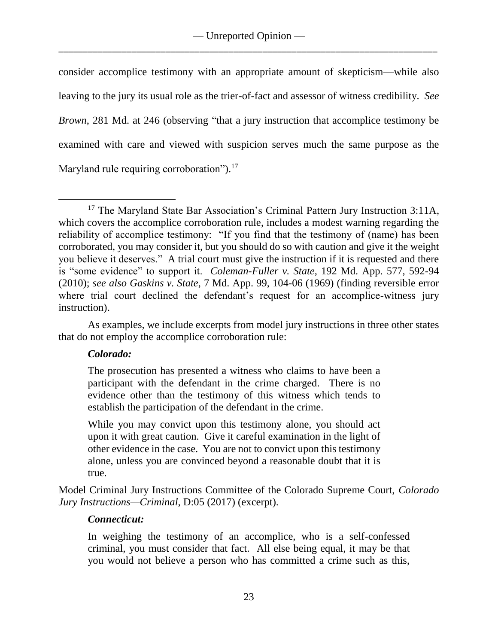consider accomplice testimony with an appropriate amount of skepticism—while also leaving to the jury its usual role as the trier-of-fact and assessor of witness credibility. *See Brown*, 281 Md. at 246 (observing "that a jury instruction that accomplice testimony be examined with care and viewed with suspicion serves much the same purpose as the Maryland rule requiring corroboration").<sup>17</sup>

As examples, we include excerpts from model jury instructions in three other states that do not employ the accomplice corroboration rule:

# *Colorado:*

The prosecution has presented a witness who claims to have been a participant with the defendant in the crime charged. There is no evidence other than the testimony of this witness which tends to establish the participation of the defendant in the crime.

While you may convict upon this testimony alone, you should act upon it with great caution. Give it careful examination in the light of other evidence in the case. You are not to convict upon this testimony alone, unless you are convinced beyond a reasonable doubt that it is true.

Model Criminal Jury Instructions Committee of the Colorado Supreme Court, *Colorado Jury Instructions—Criminal*, D:05 (2017) (excerpt).

# *Connecticut:*

In weighing the testimony of an accomplice, who is a self-confessed criminal, you must consider that fact. All else being equal, it may be that you would not believe a person who has committed a crime such as this,

 $\overline{a}$ <sup>17</sup> The Maryland State Bar Association's Criminal Pattern Jury Instruction 3:11A, which covers the accomplice corroboration rule, includes a modest warning regarding the reliability of accomplice testimony: "If you find that the testimony of (name) has been corroborated, you may consider it, but you should do so with caution and give it the weight you believe it deserves." A trial court must give the instruction if it is requested and there is "some evidence" to support it. *Coleman-Fuller v. State*, 192 Md. App. 577, 592-94 (2010); *see also Gaskins v. State*, 7 Md. App. 99, 104-06 (1969) (finding reversible error where trial court declined the defendant's request for an accomplice-witness jury instruction).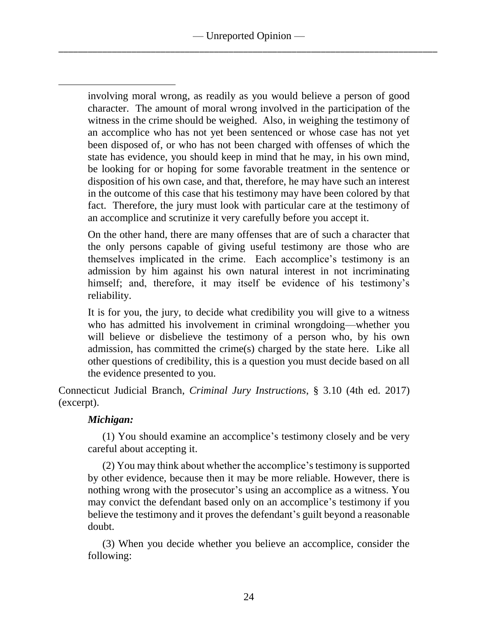involving moral wrong, as readily as you would believe a person of good character. The amount of moral wrong involved in the participation of the witness in the crime should be weighed. Also, in weighing the testimony of an accomplice who has not yet been sentenced or whose case has not yet been disposed of, or who has not been charged with offenses of which the state has evidence, you should keep in mind that he may, in his own mind, be looking for or hoping for some favorable treatment in the sentence or disposition of his own case, and that, therefore, he may have such an interest in the outcome of this case that his testimony may have been colored by that fact. Therefore, the jury must look with particular care at the testimony of an accomplice and scrutinize it very carefully before you accept it.

On the other hand, there are many offenses that are of such a character that the only persons capable of giving useful testimony are those who are themselves implicated in the crime. Each accomplice's testimony is an admission by him against his own natural interest in not incriminating himself; and, therefore, it may itself be evidence of his testimony's reliability.

It is for you, the jury, to decide what credibility you will give to a witness who has admitted his involvement in criminal wrongdoing—whether you will believe or disbelieve the testimony of a person who, by his own admission, has committed the crime(s) charged by the state here. Like all other questions of credibility, this is a question you must decide based on all the evidence presented to you.

Connecticut Judicial Branch, *Criminal Jury Instructions*, § 3.10 (4th ed. 2017) (excerpt).

# *Michigan:*

 $\overline{a}$ 

(1) You should examine an accomplice's testimony closely and be very careful about accepting it.

(2) You may think about whether the accomplice's testimony is supported by other evidence, because then it may be more reliable. However, there is nothing wrong with the prosecutor's using an accomplice as a witness. You may convict the defendant based only on an accomplice's testimony if you believe the testimony and it proves the defendant's guilt beyond a reasonable doubt.

(3) When you decide whether you believe an accomplice, consider the following: